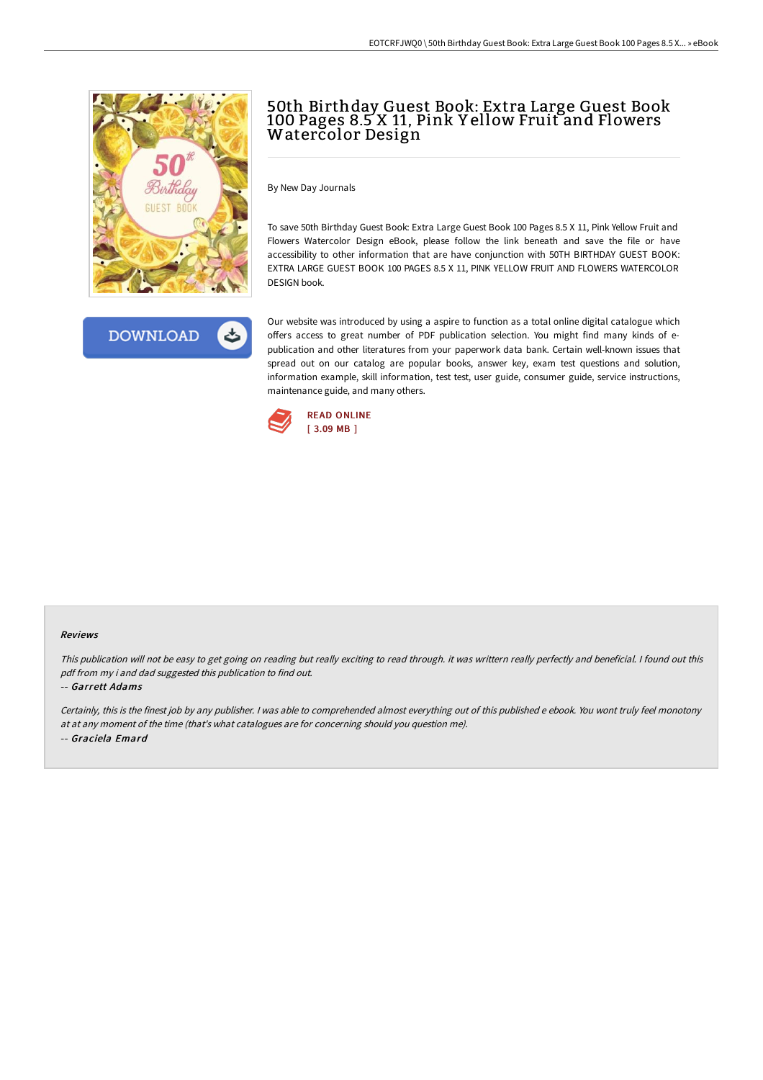



# 50th Birthday Guest Book: Extra Large Guest Book 100 Pages 8.5 X 11, Pink Y ellow Fruit and Flowers Watercolor Design

By New Day Journals

To save 50th Birthday Guest Book: Extra Large Guest Book 100 Pages 8.5 X 11, Pink Yellow Fruit and Flowers Watercolor Design eBook, please follow the link beneath and save the file or have accessibility to other information that are have conjunction with 50TH BIRTHDAY GUEST BOOK: EXTRA LARGE GUEST BOOK 100 PAGES 8.5 X 11, PINK YELLOW FRUIT AND FLOWERS WATERCOLOR DESIGN book.

Our website was introduced by using a aspire to function as a total online digital catalogue which offers access to great number of PDF publication selection. You might find many kinds of epublication and other literatures from your paperwork data bank. Certain well-known issues that spread out on our catalog are popular books, answer key, exam test questions and solution, information example, skill information, test test, user guide, consumer guide, service instructions, maintenance guide, and many others.



#### Reviews

This publication will not be easy to get going on reading but really exciting to read through. it was writtern really perfectly and beneficial. <sup>I</sup> found out this pdf from my i and dad suggested this publication to find out.

-- Garrett Adams

Certainly, this is the finest job by any publisher. <sup>I</sup> was able to comprehended almost everything out of this published <sup>e</sup> ebook. You wont truly feel monotony at at any moment of the time (that's what catalogues are for concerning should you question me). -- Graciela Emard